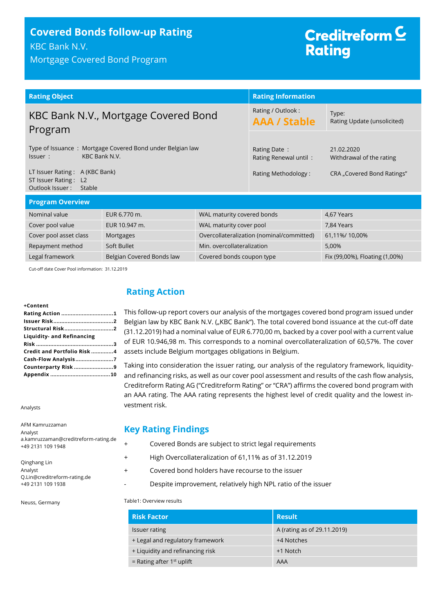# **Covered Bonds follow-up Rating** KBC Bank N.V.

Mortgage Covered Bond Program

# Creditreform<sup>C</sup> **Rating**

| <b>Rating Object</b>                                                                  |                                            |                                          | <b>Rating Information</b>                 |               |
|---------------------------------------------------------------------------------------|--------------------------------------------|------------------------------------------|-------------------------------------------|---------------|
| KBC Bank N.V., Mortgage Covered Bond<br>Program                                       |                                            | Rating / Outlook:<br><b>AAA / Stable</b> | Type:<br>Rating Update (unsolicited)      |               |
| Type of Issuance: Mortgage Covered Bond under Belgian law<br>KBC Bank N.V.<br>Issuer: |                                            | Rating Date:<br>Rating Renewal until:    | 21.02.2020<br>Withdrawal of the rating    |               |
| LT Issuer Rating: A (KBC Bank)<br>ST Issuer Rating: L2<br>Outlook Issuer:<br>Stable   |                                            | Rating Methodology:                      | CRA "Covered Bond Ratings"                |               |
| <b>Program Overview</b>                                                               |                                            |                                          |                                           |               |
| Nominal value                                                                         | WAL maturity covered bonds<br>EUR 6.770 m. |                                          |                                           | 4,67 Years    |
| Cover pool value                                                                      | EUR 10.947 m.<br>WAL maturity cover pool   |                                          |                                           | 7,84 Years    |
| Cover pool asset class                                                                | Mortgages                                  |                                          | Overcollateralization (nominal/committed) | 61,11%/10,00% |
| Soft Bullet<br>Min. overcollateralization<br>Repayment method                         |                                            |                                          | 5,00%                                     |               |

Legal framework Belgian Covered Bonds law Covered bonds coupon type Fix (99,00%), Floating (1,00%)

Cut-off date Cover Pool information: 31.12.2019

#### **+Content**

| Structural Risk2            |  |
|-----------------------------|--|
| Liquidity- and Refinancing  |  |
|                             |  |
| Credit and Portfolio Risk 4 |  |
|                             |  |
| Counterparty Risk 9         |  |
|                             |  |
|                             |  |

Analysts

AFM Kamruzzaman Analyst a.kamruzzaman@creditreform-rating.de +49 2131 109 1948

#### Qinghang Lin Analyst Q.Lin@creditreform-rating.de +49 2131 109 1938

Neuss, Germany

# <span id="page-0-0"></span>**Rating Action**

This follow-up report covers our analysis of the mortgages covered bond program issued under Belgian law by KBC Bank N.V. ("KBC Bank"). The total covered bond issuance at the cut-off date (31.12.2019) had a nominal value of EUR 6.770,00 m, backed by a cover pool with a current value of EUR 10.946,98 m. This corresponds to a nominal overcollateralization of 60,57%. The cover assets include Belgium mortgages obligations in Belgium.

Taking into consideration the issuer rating, our analysis of the regulatory framework, liquidityand refinancing risks, as well as our cover pool assessment and results of the cash flow analysis, Creditreform Rating AG ("Creditreform Rating" or "CRA") affirms the covered bond program with an AAA rating. The AAA rating represents the highest level of credit quality and the lowest investment risk.

## **Key Rating Findings**

- + Covered Bonds are subject to strict legal requirements
- + High Overcollateralization of 61,11% as of 31.12.2019
- + Covered bond holders have recourse to the issuer
	- Despite improvement, relatively high NPL ratio of the issuer

Table1: Overview results

| <b>Risk Factor</b>               | <b>Result</b>               |
|----------------------------------|-----------------------------|
| Issuer rating                    | A (rating as of 29.11.2019) |
| + Legal and regulatory framework | +4 Notches                  |
| + Liquidity and refinancing risk | +1 Notch                    |
| = Rating after $1st$ uplift      | AAA                         |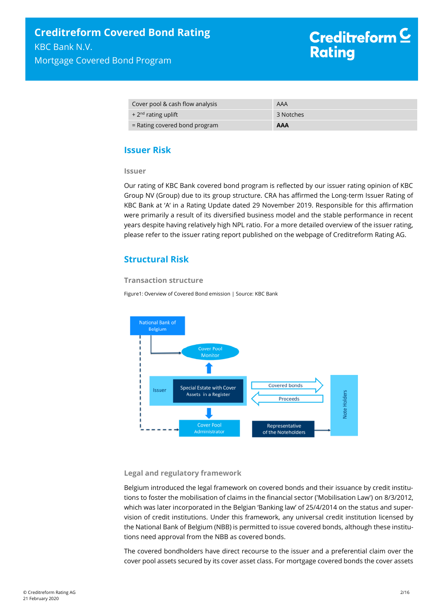| Cover pool & cash flow analysis          | AAA        |
|------------------------------------------|------------|
| $+2nd$ rating uplift                     | 3 Notches  |
| $\epsilon$ = Rating covered bond program | <b>AAA</b> |

## <span id="page-1-0"></span>**Issuer Risk**

**Issuer**

Our rating of KBC Bank covered bond program is reflected by our issuer rating opinion of KBC Group NV (Group) due to its group structure. CRA has affirmed the Long-term Issuer Rating of KBC Bank at 'A' in a Rating Update dated 29 November 2019. Responsible for this affirmation were primarily a result of its diversified business model and the stable performance in recent years despite having relatively high NPL ratio. For a more detailed overview of the issuer rating, please refer to the issuer rating report published on the webpage of Creditreform Rating AG.

## <span id="page-1-1"></span>**Structural Risk**

#### **Transaction structure**

Figure1: Overview of Covered Bond emission | Source: KBC Bank



#### **Legal and regulatory framework**

Belgium introduced the legal framework on covered bonds and their issuance by credit institutions to foster the mobilisation of claims in the financial sector ('Mobilisation Law') on 8/3/2012, which was later incorporated in the Belgian 'Banking law' of 25/4/2014 on the status and supervision of credit institutions. Under this framework, any universal credit institution licensed by the National Bank of Belgium (NBB) is permitted to issue covered bonds, although these institutions need approval from the NBB as covered bonds.

The covered bondholders have direct recourse to the issuer and a preferential claim over the cover pool assets secured by its cover asset class. For mortgage covered bonds the cover assets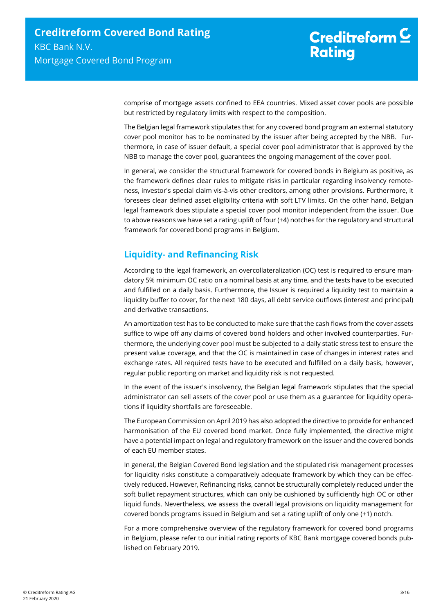comprise of mortgage assets confined to EEA countries. Mixed asset cover pools are possible but restricted by regulatory limits with respect to the composition.

The Belgian legal framework stipulates that for any covered bond program an external statutory cover pool monitor has to be nominated by the issuer after being accepted by the NBB. Furthermore, in case of issuer default, a special cover pool administrator that is approved by the NBB to manage the cover pool, guarantees the ongoing management of the cover pool.

In general, we consider the structural framework for covered bonds in Belgium as positive, as the framework defines clear rules to mitigate risks in particular regarding insolvency remoteness, investor's special claim vis-à-vis other creditors, among other provisions. Furthermore, it foresees clear defined asset eligibility criteria with soft LTV limits. On the other hand, Belgian legal framework does stipulate a special cover pool monitor independent from the issuer. Due to above reasons we have set a rating uplift of four (+4) notches for the regulatory and structural framework for covered bond programs in Belgium.

# <span id="page-2-0"></span>**Liquidity- and Refinancing Risk**

According to the legal framework, an overcollateralization (OC) test is required to ensure mandatory 5% minimum OC ratio on a nominal basis at any time, and the tests have to be executed and fulfilled on a daily basis. Furthermore, the Issuer is required a liquidity test to maintain a liquidity buffer to cover, for the next 180 days, all debt service outflows (interest and principal) and derivative transactions.

An amortization test has to be conducted to make sure that the cash flows from the cover assets suffice to wipe off any claims of covered bond holders and other involved counterparties. Furthermore, the underlying cover pool must be subjected to a daily static stress test to ensure the present value coverage, and that the OC is maintained in case of changes in interest rates and exchange rates. All required tests have to be executed and fulfilled on a daily basis, however, regular public reporting on market and liquidity risk is not requested.

In the event of the issuer's insolvency, the Belgian legal framework stipulates that the special administrator can sell assets of the cover pool or use them as a guarantee for liquidity operations if liquidity shortfalls are foreseeable.

The European Commission on April 2019 has also adopted the directive to provide for enhanced harmonisation of the EU covered bond market. Once fully implemented, the directive might have a potential impact on legal and regulatory framework on the issuer and the covered bonds of each EU member states.

In general, the Belgian Covered Bond legislation and the stipulated risk management processes for liquidity risks constitute a comparatively adequate framework by which they can be effectively reduced. However, Refinancing risks, cannot be structurally completely reduced under the soft bullet repayment structures, which can only be cushioned by sufficiently high OC or other liquid funds. Nevertheless, we assess the overall legal provisions on liquidity management for covered bonds programs issued in Belgium and set a rating uplift of only one (+1) notch.

For a more comprehensive overview of the regulatory framework for covered bond programs in Belgium, please refer to our initial rating reports of KBC Bank mortgage covered bonds published on February 2019.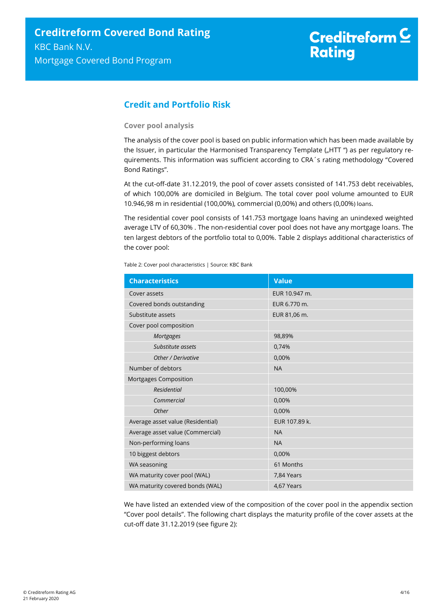# <span id="page-3-0"></span>**Credit and Portfolio Risk**

#### **Cover pool analysis**

The analysis of the cover pool is based on public information which has been made available by the Issuer, in particular the Harmonised Transparency Template ("HTT ") as per regulatory requirements. This information was sufficient according to CRA´s rating methodology "Covered Bond Ratings".

At the cut-off-date 31.12.2019, the pool of cover assets consisted of 141.753 debt receivables, of which 100,00% are domiciled in Belgium. The total cover pool volume amounted to EUR 10.946,98 m in residential (100,00%), commercial (0,00%) and others (0,00%) loans.

The residential cover pool consists of 141.753 mortgage loans having an unindexed weighted average LTV of 60,30% . The non-residential cover pool does not have any mortgage loans. The ten largest debtors of the portfolio total to 0,00%. [Table 2](#page-3-1) displays additional characteristics of the cover pool:

<span id="page-3-1"></span>Table 2: Cover pool characteristics | Source: KBC Bank

|                              | <b>Characteristics</b>            | <b>Value</b>  |
|------------------------------|-----------------------------------|---------------|
|                              | Cover assets                      | EUR 10.947 m. |
|                              | Covered bonds outstanding         | EUR 6.770 m.  |
|                              | Substitute assets                 | EUR 81,06 m.  |
|                              | Cover pool composition            |               |
|                              | <b>Mortgages</b>                  | 98,89%        |
|                              | Substitute assets                 | 0,74%         |
|                              | Other / Derivative                | 0,00%         |
|                              | Number of debtors                 | <b>NA</b>     |
|                              | Mortgages Composition             |               |
|                              | <b>Residential</b>                | 100,00%       |
|                              | Commercial                        | 0,00%         |
|                              | Other                             | 0,00%         |
|                              | Average asset value (Residential) | EUR 107.89 k. |
|                              | Average asset value (Commercial)  | <b>NA</b>     |
|                              | Non-performing loans              | <b>NA</b>     |
|                              | 10 biggest debtors                | 0,00%         |
| WA seasoning                 |                                   | 61 Months     |
| WA maturity cover pool (WAL) |                                   | 7,84 Years    |
|                              | WA maturity covered bonds (WAL)   | 4,67 Years    |

We have listed an extended view of the composition of the cover pool in the appendix section "Cover pool details". The following chart displays the maturity profile of the cover assets at the cut-off date 31.12.2019 (see [figure 2\)](#page-4-0):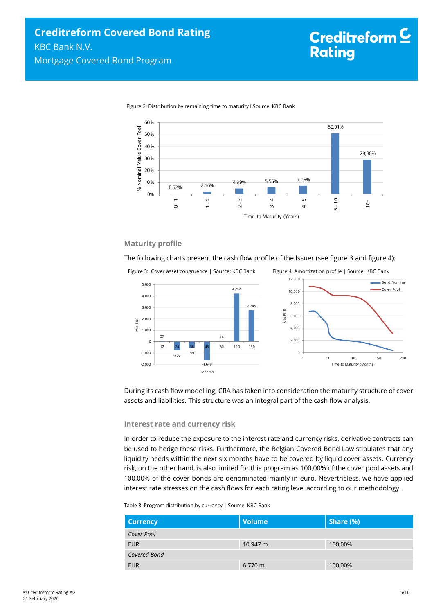

<span id="page-4-0"></span>Figure 2: Distribution by remaining time to maturity I Source: KBC Bank

#### **Maturity profile**

The following charts present the cash flow profile of the Issuer (see [figure 3](#page-4-1) an[d figure 4\)](#page-4-2):

<span id="page-4-1"></span>

<span id="page-4-2"></span>



During its cash flow modelling, CRA has taken into consideration the maturity structure of cover assets and liabilities. This structure was an integral part of the cash flow analysis.

#### **Interest rate and currency risk**

In order to reduce the exposure to the interest rate and currency risks, derivative contracts can be used to hedge these risks. Furthermore, the Belgian Covered Bond Law stipulates that any liquidity needs within the next six months have to be covered by liquid cover assets. Currency risk, on the other hand, is also limited for this program as 100,00% of the cover pool assets and 100,00% of the cover bonds are denominated mainly in euro. Nevertheless, we have applied interest rate stresses on the cash flows for each rating level according to our methodology.

Table 3: Program distribution by currency | Source: KBC Bank

| <b>Currency</b> | <b>Volume</b> | Share $(\%)$ |
|-----------------|---------------|--------------|
| Cover Pool      |               |              |
| <b>EUR</b>      | 10.947 m.     | 100,00%      |
| Covered Bond    |               |              |
| <b>EUR</b>      | $6.770$ m.    | 100,00%      |

Bond Nominal Cover Pool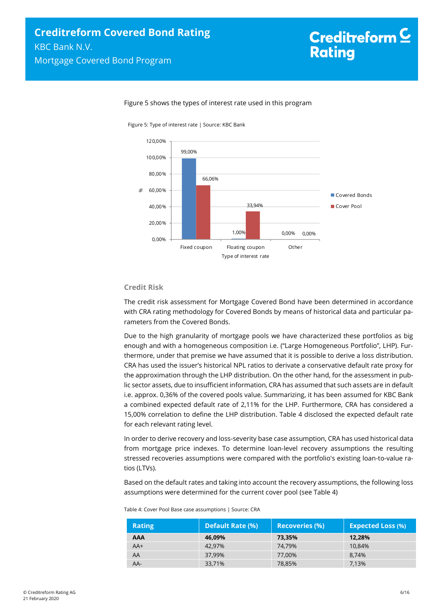

#### Figure 5 shows the types of interest rate used in this program

Figure 5: Type of interest rate | Source: KBC Bank

#### **Credit Risk**

The credit risk assessment for Mortgage Covered Bond have been determined in accordance with CRA rating methodology for Covered Bonds by means of historical data and particular parameters from the Covered Bonds.

Due to the high granularity of mortgage pools we have characterized these portfolios as big enough and with a homogeneous composition i.e. ("Large Homogeneous Portfolio", LHP). Furthermore, under that premise we have assumed that it is possible to derive a loss distribution. CRA has used the issuer's historical NPL ratios to derivate a conservative default rate proxy for the approximation through the LHP distribution. On the other hand, for the assessment in public sector assets, due to insufficient information, CRA has assumed that such assets are in default i.e. approx. 0,36% of the covered pools value. Summarizing, it has been assumed for KBC Bank a combined expected default rate of 2,11% for the LHP. Furthermore, CRA has considered a 15,00% correlation to define the LHP distribution. [Table 4](#page-5-0) disclosed the expected default rate for each relevant rating level.

In order to derive recovery and loss-severity base case assumption, CRA has used historical data from mortgage price indexes. To determine loan-level recovery assumptions the resulting stressed recoveries assumptions were compared with the portfolio's existing loan-to-value ratios (LTVs).

Based on the default rates and taking into account the recovery assumptions, the following loss assumptions were determined for the current cover pool (se[e Table 4\)](#page-5-0)

| <b>Rating</b> | <b>Default Rate (%)</b> | <b>Recoveries (%)</b> | <b>Expected Loss (%)</b> |
|---------------|-------------------------|-----------------------|--------------------------|
| <b>AAA</b>    | 46,09%                  | 73,35%                | 12,28%                   |
| $AA+$         | 42.97%                  | 74.79%                | 10.84%                   |
| AA            | 37,99%                  | 77.00%                | 8.74%                    |
| $AA-$         | 33,71%                  | 78,85%                | 7,13%                    |

<span id="page-5-0"></span>Table 4: Cover Pool Base case assumptions | Source: CRA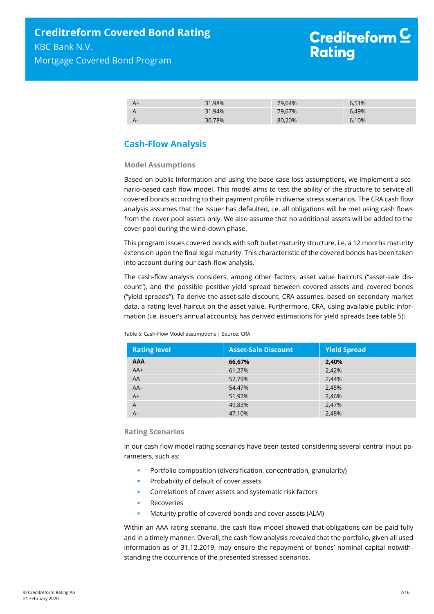| 31,98% | 79,64% | 6,51% |
|--------|--------|-------|
| 31,94% | 79,67% | 6.49% |
| 30,78% | 80,20% | 6,10% |

# <span id="page-6-0"></span>**Cash-Flow Analysis**

#### **Model Assumptions**

Based on public information and using the base case loss assumptions, we implement a scenario-based cash flow model. This model aims to test the ability of the structure to service all covered bonds according to their payment profile in diverse stress scenarios. The CRA cash flow analysis assumes that the Issuer has defaulted, i.e. all obligations will be met using cash flows from the cover pool assets only. We also assume that no additional assets will be added to the cover pool during the wind-down phase.

This program issues covered bonds with soft bullet maturity structure, i.e. a 12 months maturity extension upon the final legal maturity. This characteristic of the covered bonds has been taken into account during our cash-flow analysis.

The cash-flow analysis considers, among other factors, asset value haircuts ("asset-sale discount"), and the possible positive yield spread between covered assets and covered bonds ("yield spreads"). To derive the asset-sale discount, CRA assumes, based on secondary market data, a rating level haircut on the asset value. Furthermore, CRA, using available public information (i.e. issuer's annual accounts), has derived estimations for yield spreads (se[e table 5\)](#page-6-1):

| <b>Rating level</b> | <b>Asset-Sale Discount</b> | <b>Yield Spread</b> |
|---------------------|----------------------------|---------------------|
| <b>AAA</b>          | 66,67%                     | 2,40%               |
| $AA+$               | 61,27%                     | 2,42%               |
| AA                  | 57,79%                     | 2,44%               |
| $AA-$               | 54,47%                     | 2,45%               |
| $A+$                | 51,92%                     | 2,46%               |
| A                   | 49,83%                     | 2,47%               |
| $A -$               | 47,10%                     | 2,48%               |

<span id="page-6-1"></span>Table 5: Cash-Flow Model assumptions | Source: CRA

#### **Rating Scenarios**

In our cash flow model rating scenarios have been tested considering several central input parameters, such as:

- Portfolio composition (diversification, concentration, granularity)
- Probability of default of cover assets
- Correlations of cover assets and systematic risk factors
- Recoveries
- Maturity profile of covered bonds and cover assets (ALM)

Within an AAA rating scenario, the cash flow model showed that obligations can be paid fully and in a timely manner. Overall, the cash flow analysis revealed that the portfolio, given all used information as of 31.12.2019, may ensure the repayment of bonds' nominal capital notwithstanding the occurrence of the presented stressed scenarios.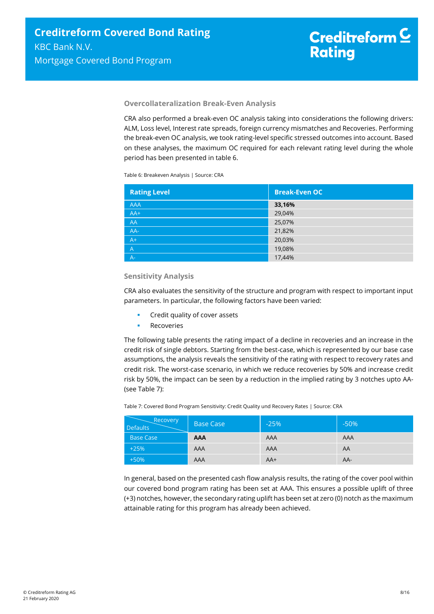#### **Overcollateralization Break-Even Analysis**

CRA also performed a break-even OC analysis taking into considerations the following drivers: ALM, Loss level, Interest rate spreads, foreign currency mismatches and Recoveries. Performing the break-even OC analysis, we took rating-level specific stressed outcomes into account. Based on these analyses, the maximum OC required for each relevant rating level during the whole period has been presented in [table 6.](#page-7-0)

<span id="page-7-0"></span>Table 6: Breakeven Analysis | Source: CRA

| <b>Rating Level</b> | <b>Break-Even OC</b> |
|---------------------|----------------------|
| <b>AAA</b>          | 33,16%               |
| $AA+$               | 29,04%               |
| AA                  | 25,07%               |
| AA-                 | 21,82%               |
| $A+$                | 20,03%               |
| $\overline{A}$      | 19,08%               |
| $A-1$               | 17,44%               |

#### **Sensitivity Analysis**

CRA also evaluates the sensitivity of the structure and program with respect to important input parameters. In particular, the following factors have been varied:

- Credit quality of cover assets
- Recoveries

The following table presents the rating impact of a decline in recoveries and an increase in the credit risk of single debtors. Starting from the best-case, which is represented by our base case assumptions, the analysis reveals the sensitivity of the rating with respect to recovery rates and credit risk. The worst-case scenario, in which we reduce recoveries by 50% and increase credit risk by 50%, the impact can be seen by a reduction in the implied rating by 3 notches upto AA- (se[e Table 7\)](#page-7-1):

<span id="page-7-1"></span>Table 7: Covered Bond Program Sensitivity: Credit Quality und Recovery Rates | Source: CRA

| Recovery<br><b>Defaults</b> | <b>Base Case</b> | $-25%$ | $-50%$ |
|-----------------------------|------------------|--------|--------|
| <b>Base Case</b>            | <b>AAA</b>       | AAA    | AAA    |
| $+25%$                      | AAA              | AAA    | AA     |
| $+50%$                      | AAA              | $AA+$  | AA-    |

In general, based on the presented cash flow analysis results, the rating of the cover pool within our covered bond program rating has been set at AAA. This ensures a possible uplift of three (+3) notches, however, the secondary rating uplift has been set at zero (0) notch as the maximum attainable rating for this program has already been achieved.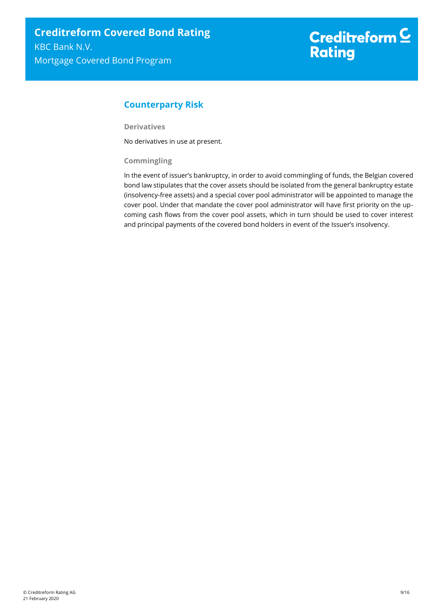# <span id="page-8-0"></span>**Counterparty Risk**

**Derivatives**

No derivatives in use at present.

#### **Commingling**

In the event of issuer's bankruptcy, in order to avoid commingling of funds, the Belgian covered bond law stipulates that the cover assets should be isolated from the general bankruptcy estate (insolvency-free assets) and a special cover pool administrator will be appointed to manage the cover pool. Under that mandate the cover pool administrator will have first priority on the upcoming cash flows from the cover pool assets, which in turn should be used to cover interest and principal payments of the covered bond holders in event of the Issuer's insolvency.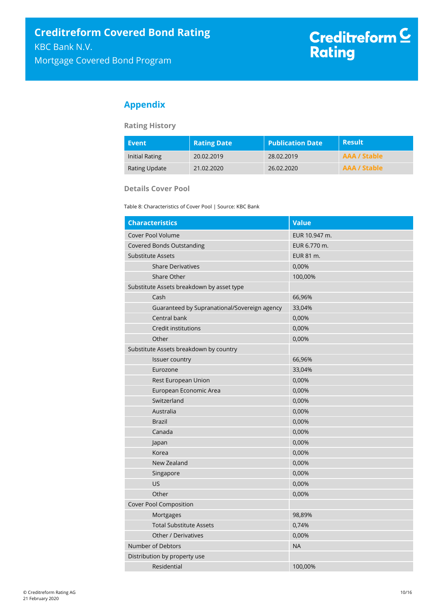# <span id="page-9-0"></span>**Appendix**

#### **Rating History**

| Event          | <b>Rating Date</b> | <b>Publication Date</b> | <b>Result</b>       |
|----------------|--------------------|-------------------------|---------------------|
| Initial Rating | 20.02.2019         | 28.02.2019              | <b>AAA / Stable</b> |
| Rating Update  | 21.02.2020         | 26.02.2020              | AAA / Stable        |

**Details Cover Pool** 

Table 8: Characteristics of Cover Pool | Source: KBC Bank

| <b>Characteristics</b>                       | <b>Value</b>  |
|----------------------------------------------|---------------|
| Cover Pool Volume                            | EUR 10.947 m. |
| <b>Covered Bonds Outstanding</b>             | EUR 6.770 m.  |
| <b>Substitute Assets</b>                     | EUR 81 m.     |
| <b>Share Derivatives</b>                     | 0,00%         |
| Share Other                                  | 100,00%       |
| Substitute Assets breakdown by asset type    |               |
| Cash                                         | 66,96%        |
| Guaranteed by Supranational/Sovereign agency | 33,04%        |
| Central bank                                 | 0,00%         |
| Credit institutions                          | 0,00%         |
| Other                                        | 0,00%         |
| Substitute Assets breakdown by country       |               |
| Issuer country                               | 66,96%        |
| Eurozone                                     | 33,04%        |
| Rest European Union                          | 0,00%         |
| European Economic Area                       | 0,00%         |
| Switzerland                                  | 0,00%         |
| Australia                                    | 0,00%         |
| <b>Brazil</b>                                | 0,00%         |
| Canada                                       | 0,00%         |
| Japan                                        | 0,00%         |
| Korea                                        | 0,00%         |
| New Zealand                                  | 0,00%         |
| Singapore                                    | 0,00%         |
| <b>US</b>                                    | 0,00%         |
| Other                                        | 0,00%         |
| Cover Pool Composition                       |               |
| Mortgages                                    | 98,89%        |
| <b>Total Substitute Assets</b>               | 0,74%         |
| Other / Derivatives                          | 0,00%         |
| Number of Debtors                            | <b>NA</b>     |
| Distribution by property use                 |               |
| Residential                                  | 100,00%       |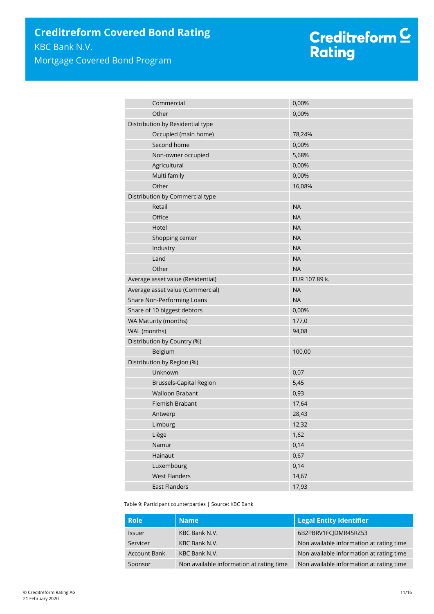# Creditreform <mark>C</mark><br>Rating

| Commercial                        | 0,00%         |  |
|-----------------------------------|---------------|--|
| Other                             | 0,00%         |  |
| Distribution by Residential type  |               |  |
| Occupied (main home)              | 78,24%        |  |
| Second home                       | 0,00%         |  |
| Non-owner occupied                | 5,68%         |  |
| Agricultural                      | 0,00%         |  |
| Multi family                      | 0,00%         |  |
| Other                             | 16,08%        |  |
| Distribution by Commercial type   |               |  |
| Retail                            | <b>NA</b>     |  |
| Office                            | <b>NA</b>     |  |
| Hotel                             | <b>NA</b>     |  |
| Shopping center                   | <b>NA</b>     |  |
| Industry                          | <b>NA</b>     |  |
| Land                              | <b>NA</b>     |  |
| Other                             | <b>NA</b>     |  |
| Average asset value (Residential) | EUR 107.89 k. |  |
| Average asset value (Commercial)  | <b>NA</b>     |  |
| Share Non-Performing Loans        | <b>NA</b>     |  |
| Share of 10 biggest debtors       | 0,00%         |  |
| WA Maturity (months)              | 177,0         |  |
| WAL (months)                      | 94,08         |  |
| Distribution by Country (%)       |               |  |
| Belgium                           | 100,00        |  |
| Distribution by Region (%)        |               |  |
| Unknown                           | 0,07          |  |
| <b>Brussels-Capital Region</b>    | 5,45          |  |
| <b>Walloon Brabant</b>            | 0,93          |  |
| Flemish Brabant                   | 17,64         |  |
| Antwerp                           | 28,43         |  |
| Limburg                           | 12,32         |  |
| Liège                             | 1,62          |  |
| Namur                             | 0,14          |  |
| Hainaut                           | 0,67          |  |
| Luxembourg                        | 0,14          |  |
| <b>West Flanders</b>              | 14,67         |  |
| <b>East Flanders</b>              | 17,93         |  |

Table 9: Participant counterparties | Source: KBC Bank

| <b>Role</b>         | <b>Name</b>                              | <b>Legal Entity Identifier</b>           |
|---------------------|------------------------------------------|------------------------------------------|
| <b>Issuer</b>       | KBC Bank N.V.                            | 6B2PBRV1FCIDMR45RZ53                     |
| Servicer            | KBC Bank N.V.                            | Non available information at rating time |
| <b>Account Bank</b> | KBC Bank N.V.                            | Non available information at rating time |
| Sponsor             | Non available information at rating time | Non available information at rating time |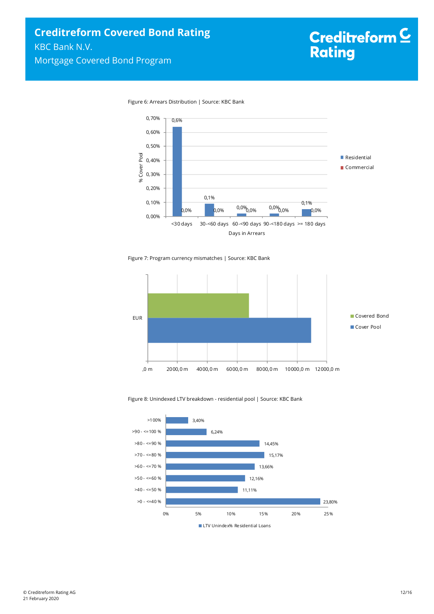



Figure 7: Program currency mismatches | Source: KBC Bank



#### Figure 8: Unindexed LTV breakdown - residential pool | Source: KBC Bank

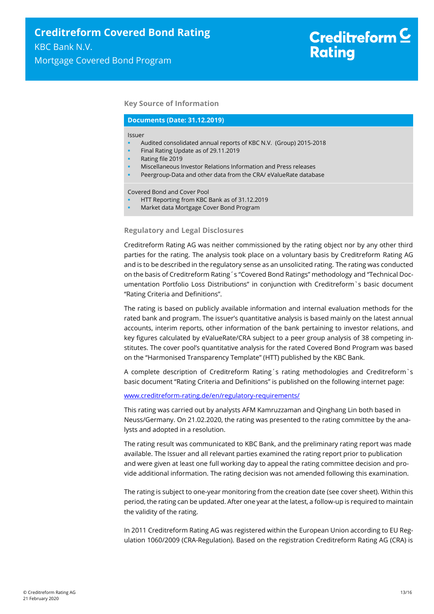#### **Key Source of Information**

#### **Documents (Date: 31.12.2019)**

#### Issuer

- Audited consolidated annual reports of KBC N.V. (Group) 2015-2018
- Final Rating Update as of 29.11.2019
- Rating file 2019
- Miscellaneous Investor Relations Information and Press releases
- Peergroup-Data and other data from the CRA/ eValueRate database

Covered Bond and Cover Pool

- HTT Reporting from KBC Bank as of 31.12.2019
- Market data Mortgage Cover Bond Program

#### **Regulatory and Legal Disclosures**

Creditreform Rating AG was neither commissioned by the rating object nor by any other third parties for the rating. The analysis took place on a voluntary basis by Creditreform Rating AG and is to be described in the regulatory sense as an unsolicited rating. The rating was conducted on the basis of Creditreform Rating´s "Covered Bond Ratings" methodology and "Technical Documentation Portfolio Loss Distributions" in conjunction with Creditreform`s basic document "Rating Criteria and Definitions".

The rating is based on publicly available information and internal evaluation methods for the rated bank and program. The issuer's quantitative analysis is based mainly on the latest annual accounts, interim reports, other information of the bank pertaining to investor relations, and key figures calculated by eValueRate/CRA subject to a peer group analysis of 38 competing institutes. The cover pool's quantitative analysis for the rated Covered Bond Program was based on the "Harmonised Transparency Template" (HTT) published by the KBC Bank.

A complete description of Creditreform Rating´s rating methodologies and Creditreform`s basic document "Rating Criteria and Definitions" is published on the following internet page:

#### [www.creditreform-rating.de/](http://www.creditreform-rating.de/)en/regulatory-requirements/

This rating was carried out by analysts AFM Kamruzzaman and Qinghang Lin both based in Neuss/Germany. On 21.02.2020, the rating was presented to the rating committee by the analysts and adopted in a resolution.

The rating result was communicated to KBC Bank, and the preliminary rating report was made available. The Issuer and all relevant parties examined the rating report prior to publication and were given at least one full working day to appeal the rating committee decision and provide additional information. The rating decision was not amended following this examination.

The rating is subject to one-year monitoring from the creation date (see cover sheet). Within this period, the rating can be updated. After one year at the latest, a follow-up is required to maintain the validity of the rating.

In 2011 Creditreform Rating AG was registered within the European Union according to EU Regulation 1060/2009 (CRA-Regulation). Based on the registration Creditreform Rating AG (CRA) is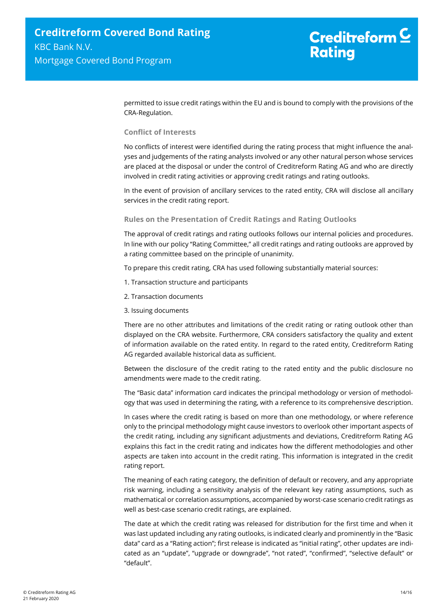permitted to issue credit ratings within the EU and is bound to comply with the provisions of the CRA-Regulation.

#### **Conflict of Interests**

No conflicts of interest were identified during the rating process that might influence the analyses and judgements of the rating analysts involved or any other natural person whose services are placed at the disposal or under the control of Creditreform Rating AG and who are directly involved in credit rating activities or approving credit ratings and rating outlooks.

In the event of provision of ancillary services to the rated entity, CRA will disclose all ancillary services in the credit rating report.

#### **Rules on the Presentation of Credit Ratings and Rating Outlooks**

The approval of credit ratings and rating outlooks follows our internal policies and procedures. In line with our policy "Rating Committee," all credit ratings and rating outlooks are approved by a rating committee based on the principle of unanimity.

To prepare this credit rating, CRA has used following substantially material sources:

- 1. Transaction structure and participants
- 2. Transaction documents
- 3. Issuing documents

There are no other attributes and limitations of the credit rating or rating outlook other than displayed on the CRA website. Furthermore, CRA considers satisfactory the quality and extent of information available on the rated entity. In regard to the rated entity, Creditreform Rating AG regarded available historical data as sufficient.

Between the disclosure of the credit rating to the rated entity and the public disclosure no amendments were made to the credit rating.

The "Basic data" information card indicates the principal methodology or version of methodology that was used in determining the rating, with a reference to its comprehensive description.

In cases where the credit rating is based on more than one methodology, or where reference only to the principal methodology might cause investors to overlook other important aspects of the credit rating, including any significant adjustments and deviations, Creditreform Rating AG explains this fact in the credit rating and indicates how the different methodologies and other aspects are taken into account in the credit rating. This information is integrated in the credit rating report.

The meaning of each rating category, the definition of default or recovery, and any appropriate risk warning, including a sensitivity analysis of the relevant key rating assumptions, such as mathematical or correlation assumptions, accompanied by worst-case scenario credit ratings as well as best-case scenario credit ratings, are explained.

The date at which the credit rating was released for distribution for the first time and when it was last updated including any rating outlooks, is indicated clearly and prominently in the "Basic data" card as a "Rating action"; first release is indicated as "initial rating", other updates are indicated as an "update", "upgrade or downgrade", "not rated", "confirmed", "selective default" or "default".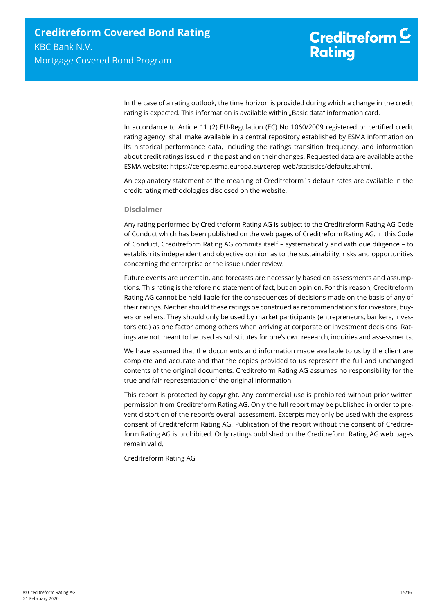In the case of a rating outlook, the time horizon is provided during which a change in the credit rating is expected. This information is available within "Basic data" information card.

In accordance to Article 11 (2) EU-Regulation (EC) No 1060/2009 registered or certified credit rating agency shall make available in a central repository established by ESMA information on its historical performance data, including the ratings transition frequency, and information about credit ratings issued in the past and on their changes. Requested data are available at the ESMA website: https://cerep.esma.europa.eu/cerep-web/statistics/defaults.xhtml.

An explanatory statement of the meaning of Creditreform`s default rates are available in the credit rating methodologies disclosed on the website.

#### **Disclaimer**

Any rating performed by Creditreform Rating AG is subject to the Creditreform Rating AG Code of Conduct which has been published on the web pages of Creditreform Rating AG. In this Code of Conduct, Creditreform Rating AG commits itself – systematically and with due diligence – to establish its independent and objective opinion as to the sustainability, risks and opportunities concerning the enterprise or the issue under review.

Future events are uncertain, and forecasts are necessarily based on assessments and assumptions. This rating is therefore no statement of fact, but an opinion. For this reason, Creditreform Rating AG cannot be held liable for the consequences of decisions made on the basis of any of their ratings. Neither should these ratings be construed as recommendations for investors, buyers or sellers. They should only be used by market participants (entrepreneurs, bankers, investors etc.) as one factor among others when arriving at corporate or investment decisions. Ratings are not meant to be used as substitutes for one's own research, inquiries and assessments.

We have assumed that the documents and information made available to us by the client are complete and accurate and that the copies provided to us represent the full and unchanged contents of the original documents. Creditreform Rating AG assumes no responsibility for the true and fair representation of the original information.

This report is protected by copyright. Any commercial use is prohibited without prior written permission from Creditreform Rating AG. Only the full report may be published in order to prevent distortion of the report's overall assessment. Excerpts may only be used with the express consent of Creditreform Rating AG. Publication of the report without the consent of Creditreform Rating AG is prohibited. Only ratings published on the Creditreform Rating AG web pages remain valid.

Creditreform Rating AG